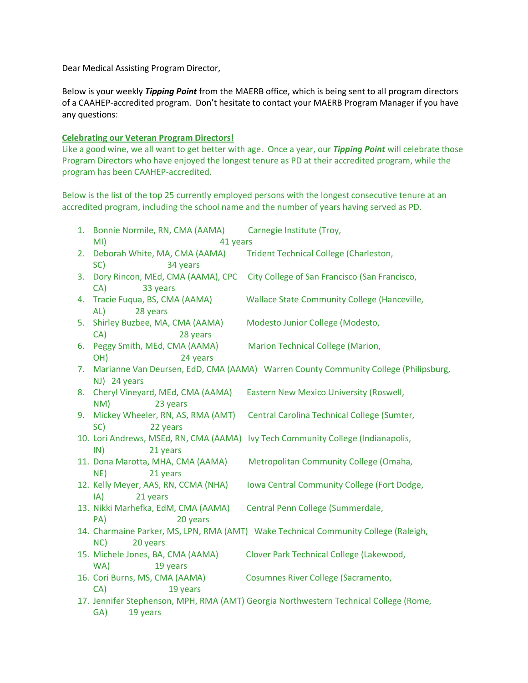Dear Medical Assisting Program Director,

Below is your weekly *Tipping Point* from the MAERB office, which is being sent to all program directors of a CAAHEP-accredited program. Don't hesitate to contact your MAERB Program Manager if you have any questions:

## **Celebrating our Veteran Program Directors!**

Like a good wine, we all want to get better with age. Once a year, our *Tipping Point* will celebrate those Program Directors who have enjoyed the longest tenure as PD at their accredited program, while the program has been CAAHEP-accredited.

Below is the list of the top 25 currently employed persons with the longest consecutive tenure at an accredited program, including the school name and the number of years having served as PD.

|                                                                                       | 1. Bonnie Normile, RN, CMA (AAMA)                    | Carnegie Institute (Troy,                                                           |
|---------------------------------------------------------------------------------------|------------------------------------------------------|-------------------------------------------------------------------------------------|
|                                                                                       | MI)<br>41 years                                      |                                                                                     |
| 2.                                                                                    | Deborah White, MA, CMA (AAMA)                        | Trident Technical College (Charleston,                                              |
|                                                                                       | 34 years<br>SC)                                      |                                                                                     |
| 3.                                                                                    | Dory Rincon, MEd, CMA (AAMA), CPC                    | City College of San Francisco (San Francisco,                                       |
|                                                                                       | CA)<br>33 years                                      |                                                                                     |
| 4.                                                                                    | Tracie Fuqua, BS, CMA (AAMA)                         | <b>Wallace State Community College (Hanceville,</b>                                 |
|                                                                                       | AL)<br>28 years                                      |                                                                                     |
| 5.                                                                                    | Shirley Buzbee, MA, CMA (AAMA)                       | Modesto Junior College (Modesto,                                                    |
|                                                                                       | CA)<br>28 years                                      |                                                                                     |
| 6.                                                                                    | Peggy Smith, MEd, CMA (AAMA)                         | Marion Technical College (Marion,                                                   |
|                                                                                       | 24 years<br>OH)                                      |                                                                                     |
| 7.                                                                                    |                                                      | Marianne Van Deursen, EdD, CMA (AAMA) Warren County Community College (Philipsburg, |
|                                                                                       | NJ) 24 years                                         |                                                                                     |
| 8.                                                                                    | Cheryl Vineyard, MEd, CMA (AAMA)                     | <b>Eastern New Mexico University (Roswell,</b>                                      |
|                                                                                       | NM)<br>23 years                                      |                                                                                     |
| 9.                                                                                    | Mickey Wheeler, RN, AS, RMA (AMT)<br>SC)<br>22 years | Central Carolina Technical College (Sumter,                                         |
|                                                                                       |                                                      | 10. Lori Andrews, MSEd, RN, CMA (AAMA) Ivy Tech Community College (Indianapolis,    |
|                                                                                       | IN)<br>21 years                                      |                                                                                     |
|                                                                                       | 11. Dona Marotta, MHA, CMA (AAMA)                    | Metropolitan Community College (Omaha,                                              |
|                                                                                       | NE)<br>21 years                                      |                                                                                     |
|                                                                                       | 12. Kelly Meyer, AAS, RN, CCMA (NHA)                 | Iowa Central Community College (Fort Dodge,                                         |
|                                                                                       | 21 years<br>IA)                                      |                                                                                     |
|                                                                                       | 13. Nikki Marhefka, EdM, CMA (AAMA)                  | Central Penn College (Summerdale,                                                   |
|                                                                                       | PA)<br>20 years                                      |                                                                                     |
|                                                                                       |                                                      | 14. Charmaine Parker, MS, LPN, RMA (AMT) Wake Technical Community College (Raleigh, |
| NC<br>20 years                                                                        |                                                      |                                                                                     |
|                                                                                       | 15. Michele Jones, BA, CMA (AAMA)                    | Clover Park Technical College (Lakewood,                                            |
|                                                                                       | WA)<br>19 years                                      |                                                                                     |
|                                                                                       | 16. Cori Burns, MS, CMA (AAMA)                       | Cosumnes River College (Sacramento,                                                 |
|                                                                                       | CA)<br>19 years                                      |                                                                                     |
| 17. Jennifer Stephenson, MPH, RMA (AMT) Georgia Northwestern Technical College (Rome, |                                                      |                                                                                     |
| GA)<br>19 years                                                                       |                                                      |                                                                                     |